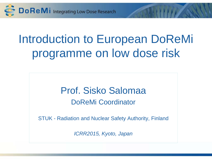

# Introduction to European DoReMi programme on low dose risk

### Prof. Sisko Salomaa DoReMi Coordinator

STUK - Radiation and Nuclear Safety Authority, Finland

*ICRR2015, Kyoto, Japan*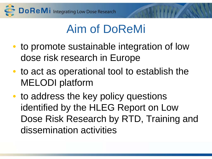

# Aim of DoReMi

- to promote sustainable integration of low dose risk research in Europe
- to act as operational tool to establish the MELODI platform
- to address the key policy questions identified by the HLEG Report on Low Dose Risk Research by RTD, Training and dissemination activities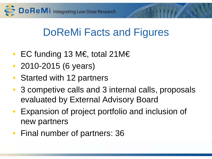Do ReMI Integrating Low Dose Research

## DoReMi Facts and Figures

- EC funding 13 M€, total 21M€
- 2010-2015 (6 years)
- Started with 12 partners
- 3 competive calls and 3 internal calls, proposals evaluated by External Advisory Board
- Expansion of project portfolio and inclusion of new partners
- Final number of partners: 36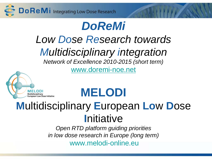## **DoReMi**

# Low Dose Research towards **Multidisciplinary integration**

Network of Excellence 2010-2015 (short term)

www.doremi-noe.net



# **MELODI**

## **Multidisciplinary European Low Dose** Initiative

Open RTD platform guiding priorities in low dose research in Europe (long term)

www.melodi-online.eu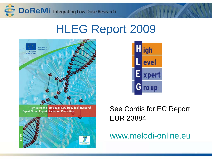

## HLEG Report 2009





### See Cordis for EC Report EUR 23884

### www.melodi-online.eu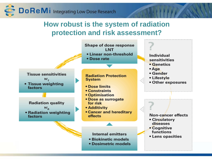

#### **How robust is the system of radiation protection and risk assessment?**

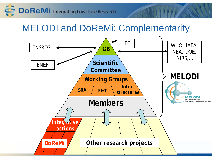Do ReMi Integrating Low Dose Research

MELODI and DoReMi: Complementarity

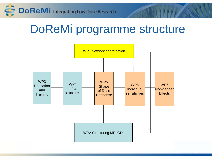

# DoReMi programme structure

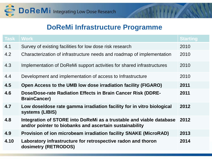

#### **DoReMi Infrastructure Programme**

| <b>Task</b> | <b>Work</b>                                                                                                                    | <b>Starting</b> |
|-------------|--------------------------------------------------------------------------------------------------------------------------------|-----------------|
| 4.1         | Survey of existing facilities for low dose risk research                                                                       | 2010            |
| 4.2         | Characterization of infrastructure needs and roadmap of implementation                                                         | 2010            |
| 4.3         | Implementation of DoReMi support activities for shared infrastructures                                                         | 2010            |
| 4.4         | Development and implementation of access to Infrastructure                                                                     | 2010            |
| 4.5         | Open Access to the UMB low dose irradiation facility (FIGARO)                                                                  | 2011            |
| 4.6         | Dose/Dose-rate Radiation Effects in Brain Cancer Risk (DDRE-<br><b>BrainCancer)</b>                                            | 2011            |
| 4.7         | Low dose/dose rate gamma irradiation facility for in vitro biological<br>systems (LIBIS)                                       | 2012            |
| 4.8         | Integration of STORE into DoReMi as a trustable and viable database<br>and/or pointer to biobanks and ascertain sustainability | 2012            |
| 4.9         | Provision of ion microbeam irradiation facility SNAKE (MicroRAD)                                                               | 2013            |
| 4.10        | Laboratory infrastructure for retrospective radon and thoron<br>dosimetry (RETRODOS)                                           | 2014            |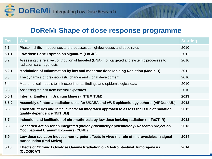

#### **DoReMi Shape of dose response programme**

| Task  | <b>Work</b>                                                                                                                            | <b>Starting</b> |
|-------|----------------------------------------------------------------------------------------------------------------------------------------|-----------------|
| 5.1   | Phase – shifts in responses and processes at high/low doses and dose rates                                                             | 2010            |
| 5.1.1 | Low dose Gene Expression signature (LoGiC)                                                                                             | 2011            |
| 5.2   | Assessing the relative contribution of targeted (DNA), non-targeted and systemic processes to<br>radiation carcinogenesis              | 2010            |
| 5.2.1 | Modulation of Inflammation by low and moderate dose lonising Radiation (ModInIR)                                                       | 2011            |
| 5.3   | The dynamics of pre-neoplastic change and clonal development                                                                           | 2010            |
| 5.4   | Mathematical models to link experimental findings and epidemiological data                                                             | 2010            |
| 5.5   | Assessing the risk from internal exposures                                                                                             | 2010            |
| 5.5.1 | <b>Internal Emitters in Uranium Miners (INTEMITUM)</b>                                                                                 | 2013            |
| 5.5.2 | Assembly of internal radiation dose for UKAEA and AWE epidemiology cohorts (AIRDoseUK)                                                 | 2013            |
| 5.6   | Track structures and initial events: an integrated approach to assess the issue of radiation<br>quality dependence (INITIUM)           | 2012            |
| 5.7   | Induction and facilitation of chromothripsis by low dose ionizing radiation (In-FaCT-IR)                                               | 2013            |
| 5.8   | Concerted Action for an Integrated (biology-dosimetry-epidemiology) Research project on<br><b>Occupational Uranium Exposure (CURE)</b> | 2013            |
| 5.9   | Low dose radiation-induced non-targeter effects in vivo: the role of microvesicles in signal<br>transduction (Rad-Mvivo)               | 2014            |
| 5.10  | Effects of Chronic LOw-dose Gamma Irradiation on GAstrointestinal Tumorigenesis<br>(CLOGICAT)                                          | 2014            |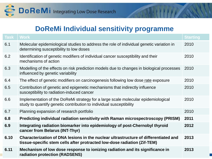

#### **DoReMi Individual sensitivity programme**

| <b>Task</b> | <b>Work</b>                                                                                                                                                     | <b>Starting</b> |
|-------------|-----------------------------------------------------------------------------------------------------------------------------------------------------------------|-----------------|
| 6.1         | Molecular epidemiological studies to address the role of individual genetic variation in<br>determining susceptibility to low doses                             | 2010            |
| 6.2         | Identification of genetic modifiers of individual cancer susceptibility and their<br>mechanisms of action                                                       | 2010            |
| 6.3         | Modelling of the effects on risk prediction models due to changes in biological processes<br>influenced by genetic variability                                  | 2010            |
| 6.4         | The effect of genetic modifiers on carcinogenesis following low dose rate exposure                                                                              | 2010            |
| 6.5         | Contribution of genetic and epigenetic mechanisms that indirectly influence<br>susceptibility to radiation-induced cancer                                       | 2010            |
| 6.6         | Implementation of the DoReMi strategy for a large scale molecular epidemiological<br>study to quantify genetic contribution to individual susceptibility        | 2010            |
| 6.7         | Planning expansion of research portfolio                                                                                                                        | 2010            |
| 6.8         | Predicting individual radiation sensitivity with Raman microspectroscopy (PRISM)                                                                                | 2011            |
| 6.9         | Integrating radiation biomarker into epidemiology of post-Chernobyl thyroid<br>cancer from Belarus (INT-Thyr)                                                   | 2012            |
| 6.10        | Characterization of DNA lesions in the nuclear ultrastructure of differentiated and<br>tissue-specific stem cells after protracted low-dose radiation (Zif-TEM) | 2013            |
| 6.11        | Mechanism of low dose response to ionizing radiation and its significance in<br>radiation protection (RADSENS)                                                  | 2013            |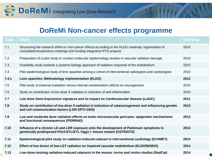

#### **DoReMi Non-cancer effects programme**

| Task  | <b>Work</b>                                                                                                                                                                    | <b>Starting</b> |
|-------|--------------------------------------------------------------------------------------------------------------------------------------------------------------------------------|-----------------|
| 7.1   | Structuring the research effort on non-cancer effects according to the HLEG roadmap: organisation of<br>consultation/exploratory meetings and funding integrative RTD projects | 2010            |
| 7.2   | Preparation of a pilot study to conduct molecular epidemiology studies in vascular radiation damage                                                                            | 2010            |
| 7.3   | Feasibility study towards a systems biology approach of radiation response of the endothelium                                                                                  | 2010            |
| 7.4   | Pilot epidemiological study of lens opacities among a cohort of interventional radiologists and cardiologists                                                                  | 2010            |
| 7.4.1 | Lens opacities: Methodology implementation (ELDO)                                                                                                                              | 2012            |
| 7.5   | Pilot study of external irradiation versus internal contamination effects on neurogenesis                                                                                      | 2010            |
| 7.6   | Study on contribution of low dose X-radiation in induction of anti-inflammation                                                                                                | 2010            |
| 7.7   | Low dose Gene Expression signature and its impact on Cardiovascular disease (LoGiC)                                                                                            | 2011            |
| 7.8   | Study on contribution of low dose X-radiation in induction of cataractogenesis and influencing genetic<br>and cell communication factors (LDR-OPTI-GEN)                        | 2013            |
| 7.9   | Low and moderate dose radiation effects on brain microvascular pericytes: epigenetic mechanisms<br>and functional consequences (PERIRAD)                                       | 2013            |
| 7.10  | Influence of a chronic LD and LDR exposure onto the development of Parkinson symptoms in<br>genetically predisposed Pitx3-EYL/EYL Ogg1-/- mouse mutant (OSTINATO)              | 2013            |
| 7.11  | Epidemiological pilot study on radiation-induced cataract in interventional cardiology (EVAMET)                                                                                | 2014            |
| 7.12  | Effect of low doses of low-LET radiation on impaired vascular endothelium (ELDORENDO)                                                                                          | 2014            |
| 7.13  | Low-dose ionizing radiation-induced cataracts in the mouse: invivo and invitro studies (RadCat)                                                                                | 2014            |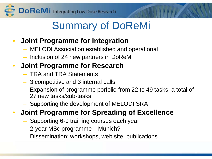# Summary of DoReMi

### • **Joint Programme for Integration**

- MELODI Association established and operational
- Inclusion of 24 new partners in DoReMi

### • **Joint Programme for Research**

- TRA and TRA Statements
- 3 competitive and 3 internal calls
- Expansion of programme porfolio from 22 to 49 tasks, a total of 27 new tasks/sub-tasks
- Supporting the development of MELODI SRA

### • **Joint Programme for Spreading of Excellence**

- Supporting 6-9 training courses each year
- 2-year MSc programme Munich?
- Dissemination: workshops, web site, publications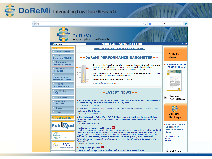### **DoReMi** Integrating Low Dose Research

 $\Leftarrow$ 

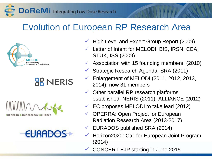Do ReMi Integrating Low Dose Research

### Evolution of European RP Research Area



### **OB NERIS**





- High Level and Expert Group Report (2009)
- Letter of Intent for MELODI: BfS, IRSN, CEA, STUK, ISS (2009)
- Association with 15 founding members  $(2010)$
- Strategic Research Agenda, SRA (2011)
- Enlargement of MELODI (2011, 2012, 2013, 2014): now 31 members
- Other parallel RP research platforms established: NERIS (2011), ALLIANCE (2012)
- EC proposes MELODI to take lead (2012)
- OPERRA: Open Project for European Radiation Research Area (2013-2017)
- EURADOS published SRA (2014)
- $\checkmark$  Horizon2020: Call for European Joint Program (2014)
- CONCERT EJP starting in June 2015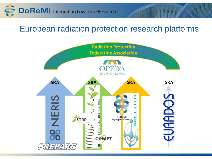

### European radiation protection research platforms